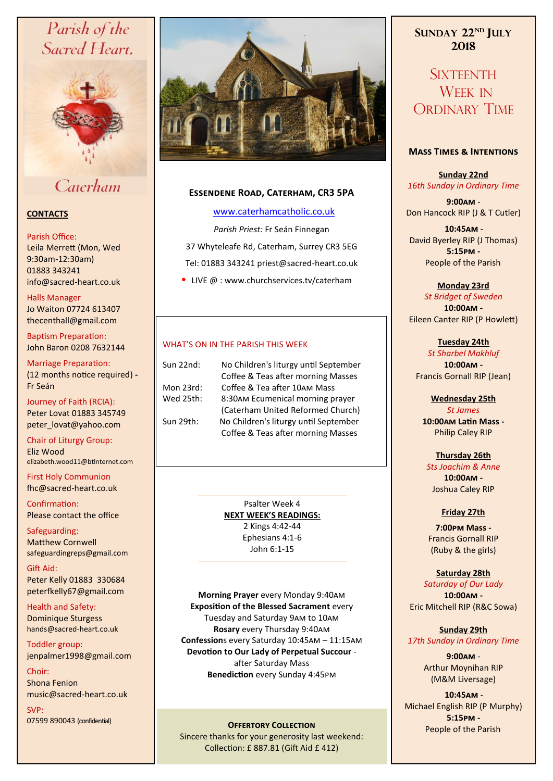# Parish of the Sacred Heart,



# Caterham

# **CONTACTS**

### Parish Office:

Leila Merrett (Mon, Wed 9:30am-12:30am) 01883 343241 info@sacred-heart.co.uk .

Halls Manager Jo Waiton 07724 613407 thecenthall@gmail.com

Baptism Preparation: John Baron 0208 7632144

Marriage Preparation: (12 months notice required) **-** Fr Seán

Journey of Faith (RCIA): Peter Lovat 01883 345749 peter\_lovat@yahoo.com

Chair of Liturgy Group: Eliz Wood elizabeth.wood11@btinternet.com

First Holy Communion fhc@sacred-heart.co.uk

Confirmation: Please contact the office

Safeguarding: Matthew Cornwell safeguardingreps@gmail.com

Gift Aid: Peter Kelly 01883 330684 peterfkelly67@gmail.com

Health and Safety: Dominique Sturgess hands@sacred-heart.co.uk

Toddler group: jenpalmer1998@gmail.com

Choir: Shona Fenion music@sacred-heart.co.uk

SVP: 07599 890043 (confidential)



# **Essendene Road, Caterham, CR3 5PA**

[www.caterhamcatholic.co.uk](http://Www.caterhamcatholic.co.uk)

*Parish Priest:* Fr Seán Finnegan 37 Whyteleafe Rd, Caterham, Surrey CR3 5EG Tel: 01883 343241 priest@sacred-heart.co.uk

• LIVE @ : www.churchservices.tv/caterham

# WHAT'S ON IN THE PARISH THIS WEEK.

| Sun 22nd: | No Children's liturgy until September |
|-----------|---------------------------------------|
|           | Coffee & Teas after morning Masses    |
| Mon 23rd: | Coffee & Tea after 10AM Mass          |
| Wed 25th: | 8:30AM Ecumenical morning prayer      |
|           | (Caterham United Reformed Church)     |
| Sun 29th: | No Children's liturgy until September |
|           | Coffee & Teas after morning Masses    |
|           |                                       |

Psalter Week 4 **NEXT WEEK'S READINGS:**  2 Kings 4:42-44 Ephesians 4:1-6 John 6:1-15

**Morning Prayer** every Monday 9:40am **Exposition of the Blessed Sacrament** every Tuesday and Saturday 9am to 10am **Rosary** every Thursday 9:40am **Confession**s every Saturday 10:45am – 11:15am **Devotion to Our Lady of Perpetual Succour**  after Saturday Mass **Benediction** every Sunday 4:45pm

**OFFERTORY COLLECTION** 

Sincere thanks for your generosity last weekend: Collection: £ 887.81 (Gift Aid £ 412)

**SUNDAY 22ND JULY 2018**

**SIXTEENTH** WEEK IN ORDINARY TIME

# **Mass Times & Intentions**

**Sunday 22nd** *16th Sunday in Ordinary Time*

**9:00am** - Don Hancock RIP (J & T Cutler)

.**10:45am** - David Byerley RIP (J Thomas) **5:15pm -** People of the Parish.

**Monday 23rd**  *St Bridget of Sweden* **10:00am -** Eileen Canter RIP (P Howlett)

**Tuesday 24th**  *St Sharbel Makhluf* **10:00am -** Francis Gornall RIP (Jean)

**Wednesday 25th** *St James* **10:00am Latin Mass -** Philip Caley RIP

**Thursday 26th**  *Sts Joachim & Anne* **10:00am -** Joshua Caley RIP

# **Friday 27th**

**7:00pm Mass -** Francis Gornall RIP (Ruby & the girls)

# **Saturday 28th**

*Saturday of Our Lady* **10:00am -**  Eric Mitchell RIP (R&C Sowa)

**Sunday 29th** *17th Sunday in Ordinary Time*

> **9:00am** - Arthur Moynihan RIP (M&M Liversage)

.**10:45am** - Michael English RIP (P Murphy) **5:15pm -** People of the Parish.